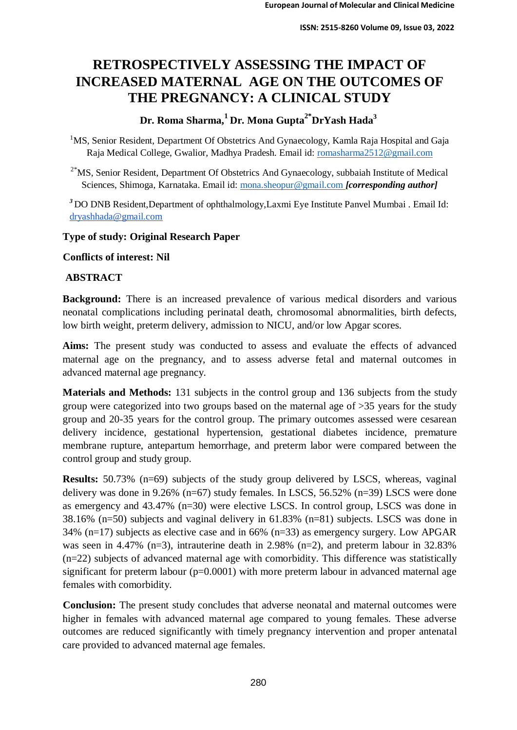# **RETROSPECTIVELY ASSESSING THE IMPACT OF INCREASED MATERNAL AGE ON THE OUTCOMES OF THE PREGNANCY: A CLINICAL STUDY**

## **Dr. Roma Sharma,1 Dr. Mona Gupta2\*DrYash Hada<sup>3</sup>**

<sup>1</sup>MS, Senior Resident, Department Of Obstetrics And Gynaecology, Kamla Raja Hospital and Gaja Raja Medical College, Gwalior, Madhya Pradesh. Email id: romasharma2512@gmail.com

 $2*$ MS, Senior Resident, Department Of Obstetrics And Gynaecology, subbaiah Institute of Medical Sciences, Shimoga, Karnataka. Email id: mona.sheopur@gmail.com *[corresponding author]* 

<sup>3</sup>DO DNB Resident, Department of ophthalmology, Laxmi Eye Institute Panvel Mumbai . Email Id: [dryashhada@gmail.com](mailto:dryashhada@gmail.com)

## **Type of study: Original Research Paper**

**Conflicts of interest: Nil** 

### **ABSTRACT**

**Background:** There is an increased prevalence of various medical disorders and various neonatal complications including perinatal death, chromosomal abnormalities, birth defects, low birth weight, preterm delivery, admission to NICU, and/or low Apgar scores.

**Aims:** The present study was conducted to assess and evaluate the effects of advanced maternal age on the pregnancy, and to assess adverse fetal and maternal outcomes in advanced maternal age pregnancy.

**Materials and Methods:** 131 subjects in the control group and 136 subjects from the study group were categorized into two groups based on the maternal age of >35 years for the study group and 20-35 years for the control group. The primary outcomes assessed were cesarean delivery incidence, gestational hypertension, gestational diabetes incidence, premature membrane rupture, antepartum hemorrhage, and preterm labor were compared between the control group and study group.

**Results:** 50.73% (n=69) subjects of the study group delivered by LSCS, whereas, vaginal delivery was done in 9.26% (n=67) study females. In LSCS, 56.52% (n=39) LSCS were done as emergency and 43.47% (n=30) were elective LSCS. In control group, LSCS was done in 38.16% (n=50) subjects and vaginal delivery in 61.83% (n=81) subjects. LSCS was done in 34% (n=17) subjects as elective case and in 66% (n=33) as emergency surgery. Low APGAR was seen in 4.47% (n=3), intrauterine death in 2.98% (n=2), and preterm labour in  $32.83\%$ (n=22) subjects of advanced maternal age with comorbidity. This difference was statistically significant for preterm labour (p=0.0001) with more preterm labour in advanced maternal age females with comorbidity.

**Conclusion:** The present study concludes that adverse neonatal and maternal outcomes were higher in females with advanced maternal age compared to young females. These adverse outcomes are reduced significantly with timely pregnancy intervention and proper antenatal care provided to advanced maternal age females.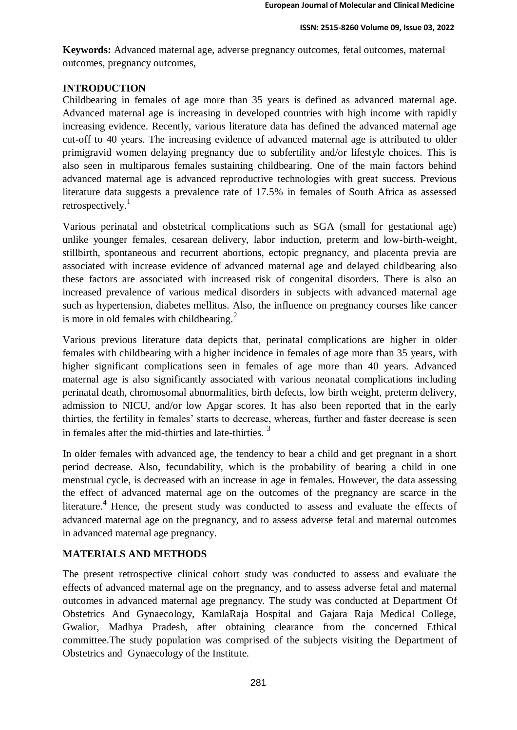**Keywords:** Advanced maternal age, adverse pregnancy outcomes, fetal outcomes, maternal outcomes, pregnancy outcomes,

## **INTRODUCTION**

Childbearing in females of age more than 35 years is defined as advanced maternal age. Advanced maternal age is increasing in developed countries with high income with rapidly increasing evidence. Recently, various literature data has defined the advanced maternal age cut-off to 40 years. The increasing evidence of advanced maternal age is attributed to older primigravid women delaying pregnancy due to subfertility and/or lifestyle choices. This is also seen in multiparous females sustaining childbearing. One of the main factors behind advanced maternal age is advanced reproductive technologies with great success. Previous literature data suggests a prevalence rate of 17.5% in females of South Africa as assessed retrospectively. $1$ 

Various perinatal and obstetrical complications such as SGA (small for gestational age) unlike younger females, cesarean delivery, labor induction, preterm and low-birth-weight, stillbirth, spontaneous and recurrent abortions, ectopic pregnancy, and placenta previa are associated with increase evidence of advanced maternal age and delayed childbearing also these factors are associated with increased risk of congenital disorders. There is also an increased prevalence of various medical disorders in subjects with advanced maternal age such as hypertension, diabetes mellitus. Also, the influence on pregnancy courses like cancer is more in old females with childbearing.<sup>2</sup>

Various previous literature data depicts that, perinatal complications are higher in older females with childbearing with a higher incidence in females of age more than 35 years, with higher significant complications seen in females of age more than 40 years. Advanced maternal age is also significantly associated with various neonatal complications including perinatal death, chromosomal abnormalities, birth defects, low birth weight, preterm delivery, admission to NICU, and/or low Apgar scores. It has also been reported that in the early thirties, the fertility in females' starts to decrease, whereas, further and faster decrease is seen in females after the mid-thirties and late-thirties.  $3$ 

In older females with advanced age, the tendency to bear a child and get pregnant in a short period decrease. Also, fecundability, which is the probability of bearing a child in one menstrual cycle, is decreased with an increase in age in females. However, the data assessing the effect of advanced maternal age on the outcomes of the pregnancy are scarce in the literature.<sup>4</sup> Hence, the present study was conducted to assess and evaluate the effects of advanced maternal age on the pregnancy, and to assess adverse fetal and maternal outcomes in advanced maternal age pregnancy.

## **MATERIALS AND METHODS**

The present retrospective clinical cohort study was conducted to assess and evaluate the effects of advanced maternal age on the pregnancy, and to assess adverse fetal and maternal outcomes in advanced maternal age pregnancy. The study was conducted at Department Of Obstetrics And Gynaecology, KamlaRaja Hospital and Gajara Raja Medical College, Gwalior, Madhya Pradesh, after obtaining clearance from the concerned Ethical committee.The study population was comprised of the subjects visiting the Department of Obstetrics and Gynaecology of the Institute.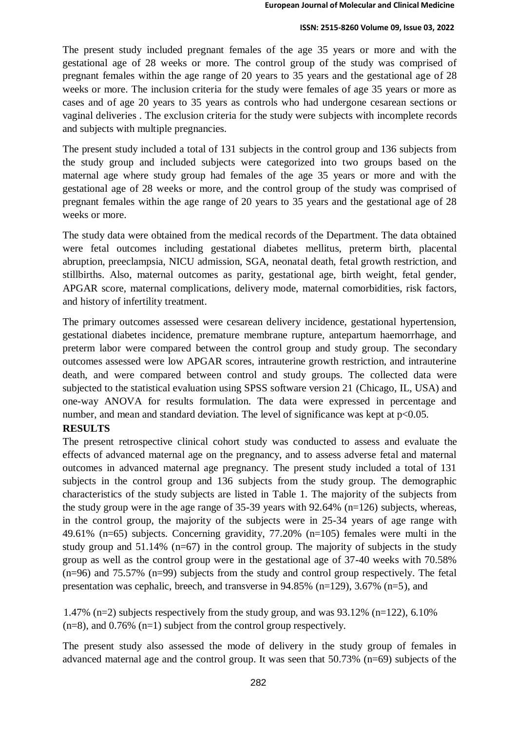#### **ISSN: 2515-8260 Volume 09, Issue 03, 2022**

The present study included pregnant females of the age 35 years or more and with the gestational age of 28 weeks or more. The control group of the study was comprised of pregnant females within the age range of 20 years to 35 years and the gestational age of 28 weeks or more. The inclusion criteria for the study were females of age 35 years or more as cases and of age 20 years to 35 years as controls who had undergone cesarean sections or vaginal deliveries . The exclusion criteria for the study were subjects with incomplete records and subjects with multiple pregnancies.

The present study included a total of 131 subjects in the control group and 136 subjects from the study group and included subjects were categorized into two groups based on the maternal age where study group had females of the age 35 years or more and with the gestational age of 28 weeks or more, and the control group of the study was comprised of pregnant females within the age range of 20 years to 35 years and the gestational age of 28 weeks or more.

The study data were obtained from the medical records of the Department. The data obtained were fetal outcomes including gestational diabetes mellitus, preterm birth, placental abruption, preeclampsia, NICU admission, SGA, neonatal death, fetal growth restriction, and stillbirths. Also, maternal outcomes as parity, gestational age, birth weight, fetal gender, APGAR score, maternal complications, delivery mode, maternal comorbidities, risk factors, and history of infertility treatment.

The primary outcomes assessed were cesarean delivery incidence, gestational hypertension, gestational diabetes incidence, premature membrane rupture, antepartum haemorrhage, and preterm labor were compared between the control group and study group. The secondary outcomes assessed were low APGAR scores, intrauterine growth restriction, and intrauterine death, and were compared between control and study groups. The collected data were subjected to the statistical evaluation using SPSS software version 21 (Chicago, IL, USA) and one-way ANOVA for results formulation. The data were expressed in percentage and number, and mean and standard deviation. The level of significance was kept at  $p<0.05$ .

## **RESULTS**

The present retrospective clinical cohort study was conducted to assess and evaluate the effects of advanced maternal age on the pregnancy, and to assess adverse fetal and maternal outcomes in advanced maternal age pregnancy. The present study included a total of 131 subjects in the control group and 136 subjects from the study group. The demographic characteristics of the study subjects are listed in Table 1. The majority of the subjects from the study group were in the age range of  $35-39$  years with  $92.64\%$  (n=126) subjects, whereas, in the control group, the majority of the subjects were in 25-34 years of age range with 49.61% (n=65) subjects. Concerning gravidity, 77.20% (n=105) females were multi in the study group and  $51.14\%$  (n=67) in the control group. The majority of subjects in the study group as well as the control group were in the gestational age of 37-40 weeks with 70.58% (n=96) and 75.57% (n=99) subjects from the study and control group respectively. The fetal presentation was cephalic, breech, and transverse in 94.85% (n=129), 3.67% (n=5), and

1.47% (n=2) subjects respectively from the study group, and was 93.12% (n=122), 6.10%  $(n=8)$ , and 0.76%  $(n=1)$  subject from the control group respectively.

The present study also assessed the mode of delivery in the study group of females in advanced maternal age and the control group. It was seen that 50.73% (n=69) subjects of the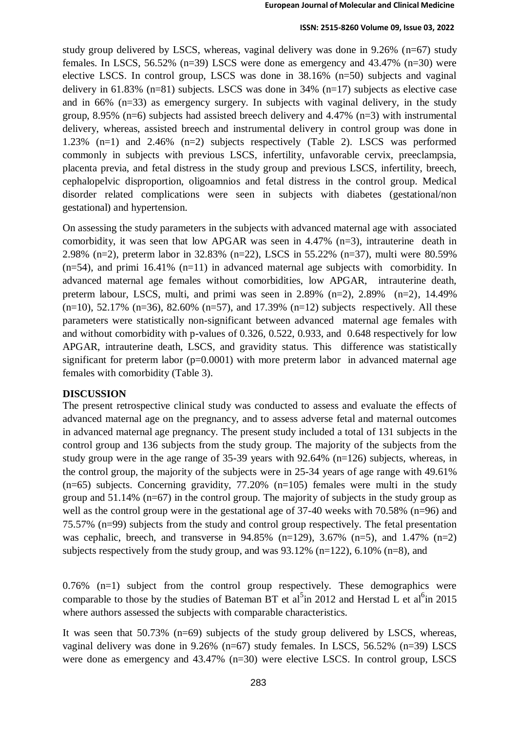#### **ISSN: 2515-8260 Volume 09, Issue 03, 2022**

study group delivered by LSCS, whereas, vaginal delivery was done in 9.26% (n=67) study females. In LSCS, 56.52% ( $n=39$ ) LSCS were done as emergency and 43.47% ( $n=30$ ) were elective LSCS. In control group, LSCS was done in 38.16% (n=50) subjects and vaginal delivery in  $61.83\%$  (n=81) subjects. LSCS was done in 34% (n=17) subjects as elective case and in 66% (n=33) as emergency surgery. In subjects with vaginal delivery, in the study group, 8.95% (n=6) subjects had assisted breech delivery and 4.47% (n=3) with instrumental delivery, whereas, assisted breech and instrumental delivery in control group was done in 1.23% (n=1) and 2.46% (n=2) subjects respectively (Table 2). LSCS was performed commonly in subjects with previous LSCS, infertility, unfavorable cervix, preeclampsia, placenta previa, and fetal distress in the study group and previous LSCS, infertility, breech, cephalopelvic disproportion, oligoamnios and fetal distress in the control group. Medical disorder related complications were seen in subjects with diabetes (gestational/non gestational) and hypertension.

On assessing the study parameters in the subjects with advanced maternal age with associated comorbidity, it was seen that low APGAR was seen in 4.47% (n=3), intrauterine death in 2.98% (n=2), preterm labor in 32.83% (n=22), LSCS in 55.22% (n=37), multi were 80.59%  $(n=54)$ , and primi 16.41%  $(n=11)$  in advanced maternal age subjects with comorbidity. In advanced maternal age females without comorbidities, low APGAR, intrauterine death, preterm labour, LSCS, multi, and primi was seen in  $2.89\%$  (n=2),  $2.89\%$  (n=2),  $14.49\%$  $(n=10)$ , 52.17%  $(n=36)$ , 82.60%  $(n=57)$ , and 17.39%  $(n=12)$  subjects respectively. All these parameters were statistically non-significant between advanced maternal age females with and without comorbidity with p-values of 0.326, 0.522, 0.933, and 0.648 respectively for low APGAR, intrauterine death, LSCS, and gravidity status. This difference was statistically significant for preterm labor ( $p=0.0001$ ) with more preterm labor in advanced maternal age females with comorbidity (Table 3).

### **DISCUSSION**

The present retrospective clinical study was conducted to assess and evaluate the effects of advanced maternal age on the pregnancy, and to assess adverse fetal and maternal outcomes in advanced maternal age pregnancy. The present study included a total of 131 subjects in the control group and 136 subjects from the study group. The majority of the subjects from the study group were in the age range of 35-39 years with 92.64% (n=126) subjects, whereas, in the control group, the majority of the subjects were in 25-34 years of age range with 49.61%  $(n=65)$  subjects. Concerning gravidity, 77.20%  $(n=105)$  females were multi in the study group and 51.14% (n=67) in the control group. The majority of subjects in the study group as well as the control group were in the gestational age of 37-40 weeks with 70.58% (n=96) and 75.57% (n=99) subjects from the study and control group respectively. The fetal presentation was cephalic, breech, and transverse in  $94.85\%$  (n=129),  $3.67\%$  (n=5), and  $1.47\%$  (n=2) subjects respectively from the study group, and was 93.12% (n=122), 6.10% (n=8), and

 $0.76\%$  (n=1) subject from the control group respectively. These demographics were comparable to those by the studies of Bateman BT et al<sup>5</sup>in 2012 and Herstad L et al<sup>6</sup>in 2015 where authors assessed the subjects with comparable characteristics.

It was seen that 50.73% (n=69) subjects of the study group delivered by LSCS, whereas, vaginal delivery was done in 9.26% (n=67) study females. In LSCS, 56.52% (n=39) LSCS were done as emergency and 43.47% (n=30) were elective LSCS. In control group, LSCS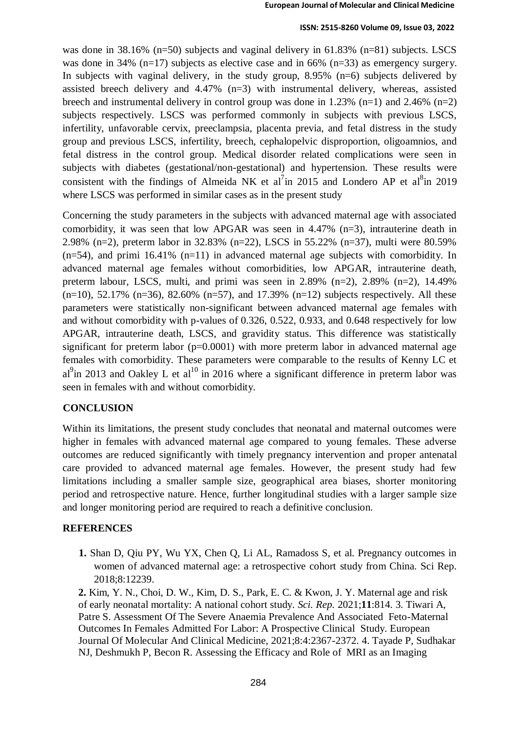#### **ISSN: 2515-8260 Volume 09, Issue 03, 2022**

was done in 38.16% (n=50) subjects and vaginal delivery in 61.83% (n=81) subjects. LSCS was done in 34% (n=17) subjects as elective case and in 66% (n=33) as emergency surgery. In subjects with vaginal delivery, in the study group, 8.95% (n=6) subjects delivered by assisted breech delivery and 4.47% (n=3) with instrumental delivery, whereas, assisted breech and instrumental delivery in control group was done in 1.23% (n=1) and 2.46% (n=2) subjects respectively. LSCS was performed commonly in subjects with previous LSCS, infertility, unfavorable cervix, preeclampsia, placenta previa, and fetal distress in the study group and previous LSCS, infertility, breech, cephalopelvic disproportion, oligoamnios, and fetal distress in the control group. Medical disorder related complications were seen in subjects with diabetes (gestational/non-gestational) and hypertension. These results were consistent with the findings of Almeida NK et al<sup>7</sup>in 2015 and Londero AP et al<sup>8</sup>in 2019 where LSCS was performed in similar cases as in the present study

Concerning the study parameters in the subjects with advanced maternal age with associated comorbidity, it was seen that low APGAR was seen in 4.47% (n=3), intrauterine death in 2.98% (n=2), preterm labor in 32.83% (n=22), LSCS in 55.22% (n=37), multi were 80.59%  $(n=54)$ , and primi 16.41%  $(n=11)$  in advanced maternal age subjects with comorbidity. In advanced maternal age females without comorbidities, low APGAR, intrauterine death, preterm labour, LSCS, multi, and primi was seen in  $2.89\%$  (n=2),  $2.89\%$  (n=2),  $14.49\%$  $(n=10)$ , 52.17%  $(n=36)$ , 82.60%  $(n=57)$ , and 17.39%  $(n=12)$  subjects respectively. All these parameters were statistically non-significant between advanced maternal age females with and without comorbidity with p-values of 0.326, 0.522, 0.933, and 0.648 respectively for low APGAR, intrauterine death, LSCS, and gravidity status. This difference was statistically significant for preterm labor ( $p=0.0001$ ) with more preterm labor in advanced maternal age females with comorbidity. These parameters were comparable to the results of Kenny LC et al<sup>9</sup>in 2013 and Oakley L et al<sup>10</sup> in 2016 where a significant difference in preterm labor was seen in females with and without comorbidity.

## **CONCLUSION**

Within its limitations, the present study concludes that neonatal and maternal outcomes were higher in females with advanced maternal age compared to young females. These adverse outcomes are reduced significantly with timely pregnancy intervention and proper antenatal care provided to advanced maternal age females. However, the present study had few limitations including a smaller sample size, geographical area biases, shorter monitoring period and retrospective nature. Hence, further longitudinal studies with a larger sample size and longer monitoring period are required to reach a definitive conclusion.

### **REFERENCES**

**1.** Shan D, Qiu PY, Wu YX, Chen Q, Li AL, Ramadoss S, et al. Pregnancy outcomes in women of advanced maternal age: a retrospective cohort study from China. Sci Rep. 2018;8:12239.

**2.** Kim, Y. N., Choi, D. W., Kim, D. S., Park, E. C. & Kwon, J. Y. Maternal age and risk of early neonatal mortality: A national cohort study. *Sci. Rep.* 2021;**11**:814. 3. Tiwari A, Patre S. Assessment Of The Severe Anaemia Prevalence And Associated Feto-Maternal Outcomes In Females Admitted For Labor: A Prospective Clinical Study. European Journal Of Molecular And Clinical Medicine, 2021;8:4:2367-2372. 4. Tayade P, Sudhakar NJ, Deshmukh P, Becon R. Assessing the Efficacy and Role of MRI as an Imaging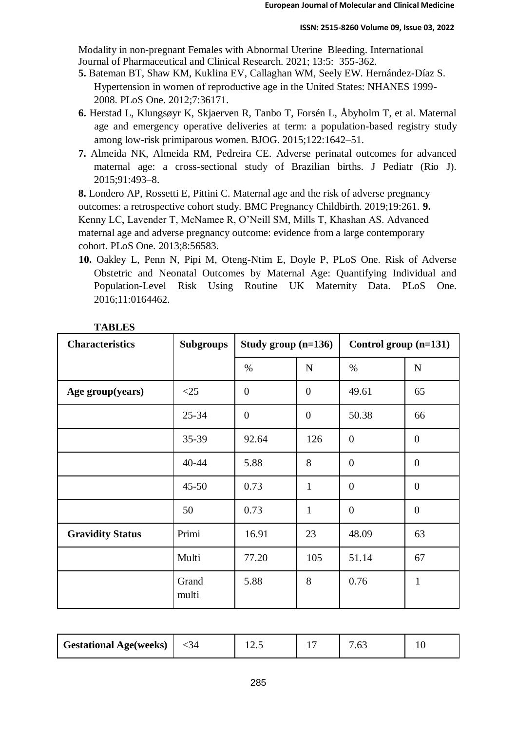Modality in non-pregnant Females with Abnormal Uterine Bleeding. International Journal of Pharmaceutical and Clinical Research. 2021; 13:5: 355-362.

- **5.** Bateman BT, Shaw KM, Kuklina EV, Callaghan WM, Seely EW. Hernández-Díaz S. Hypertension in women of reproductive age in the United States: NHANES 1999- 2008. PLoS One. 2012;7:36171.
- **6.** Herstad L, Klungsøyr K, Skjaerven R, Tanbo T, Forsén L, Åbyholm T, et al. Maternal age and emergency operative deliveries at term: a population-based registry study among low-risk primiparous women. BJOG. 2015;122:1642–51.
- **7.** Almeida NK, Almeida RM, Pedreira CE. Adverse perinatal outcomes for advanced maternal age: a cross-sectional study of Brazilian births. J Pediatr (Rio J). 2015;91:493–8.

**8.** Londero AP, Rossetti E, Pittini C. Maternal age and the risk of adverse pregnancy outcomes: a retrospective cohort study. BMC Pregnancy Childbirth. 2019;19:261. **9.**  Kenny LC, Lavender T, McNamee R, O'Neill SM, Mills T, Khashan AS. Advanced maternal age and adverse pregnancy outcome: evidence from a large contemporary cohort. PLoS One. 2013;8:56583.

**10.** Oakley L, Penn N, Pipi M, Oteng-Ntim E, Doyle P, PLoS One. Risk of Adverse Obstetric and Neonatal Outcomes by Maternal Age: Quantifying Individual and Population-Level Risk Using Routine UK Maternity Data. PLoS One. 2016;11:0164462.

| <b>Characteristics</b>  | <b>Subgroups</b> | Study group $(n=136)$ |                | Control group (n=131) |                |
|-------------------------|------------------|-----------------------|----------------|-----------------------|----------------|
|                         |                  | $\%$                  | $\mathbf N$    | $\%$                  | $\mathbf N$    |
| Age group(years)        | $\leq$ 25        | $\overline{0}$        | $\overline{0}$ | 49.61                 | 65             |
|                         | $25 - 34$        | $\overline{0}$        | $\overline{0}$ | 50.38                 | 66             |
|                         | $35 - 39$        | 92.64                 | 126            | $\overline{0}$        | $\theta$       |
|                         | 40-44            | 5.88                  | 8              | $\overline{0}$        | $\overline{0}$ |
|                         | $45 - 50$        | 0.73                  | $\mathbf{1}$   | $\overline{0}$        | $\overline{0}$ |
|                         | 50               | 0.73                  | $\mathbf{1}$   | $\overline{0}$        | $\overline{0}$ |
| <b>Gravidity Status</b> | Primi            | 16.91                 | 23             | 48.09                 | 63             |
|                         | Multi            | 77.20                 | 105            | 51.14                 | 67             |
|                         | Grand<br>multi   | 5.88                  | 8              | 0.76                  | $\mathbf{1}$   |

| <b>Gestational Age(weeks)</b> | `4 | ⊥ ∠… |  | $\cdot$ u $\cdot$ |  |
|-------------------------------|----|------|--|-------------------|--|
|-------------------------------|----|------|--|-------------------|--|